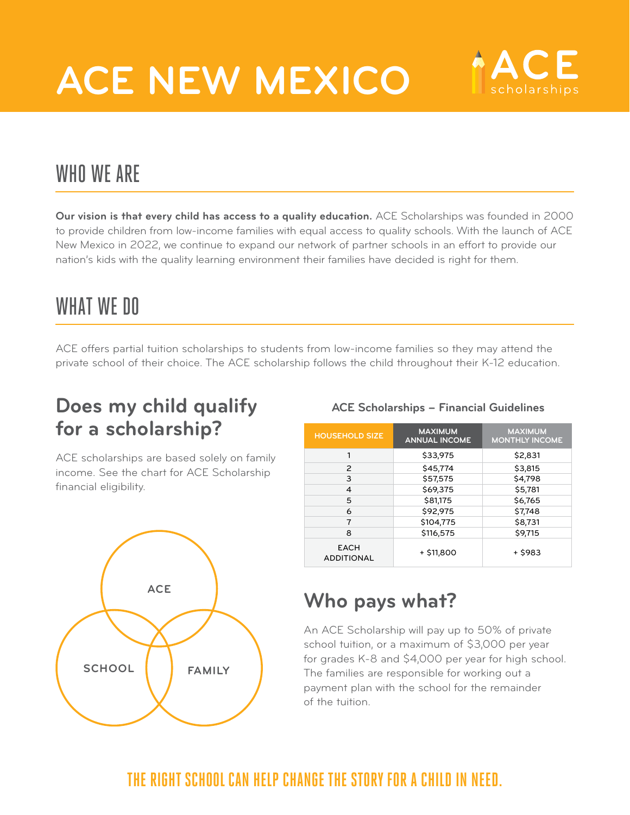# **ACE NEW MEXICO**



## WHO WE ARE

**Our vision is that every child has access to a quality education.** ACE Scholarships was founded in 2000 to provide children from low-income families with equal access to quality schools. With the launch of ACE New Mexico in 2022, we continue to expand our network of partner schools in an effort to provide our nation's kids with the quality learning environment their families have decided is right for them.

## WHAT WE DO

ACE offers partial tuition scholarships to students from low-income families so they may attend the private school of their choice. The ACE scholarship follows the child throughout their K-12 education.

### **Does my child qualify for a scholarship?**

ACE scholarships are based solely on family income. See the chart for ACE Scholarship financial eligibility.



### **ACE Scholarships – Financial Guidelines**

| <b>HOUSEHOLD SIZE</b>            | <b>MAXIMUM</b><br><b>ANNUAL INCOME</b> | <b>MAXIMUM</b><br><b>MONTHLY INCOME</b> |
|----------------------------------|----------------------------------------|-----------------------------------------|
| 1                                | \$33,975                               | \$2,831                                 |
| 2                                | \$45,774                               | \$3,815                                 |
| 3                                | \$57,575                               | \$4,798                                 |
| 4                                | \$69,375                               | \$5,781                                 |
| 5                                | \$81,175                               | \$6,765                                 |
| 6                                | \$92,975                               | \$7,748                                 |
| 7                                | \$104,775                              | \$8,731                                 |
| 8                                | \$116,575                              | \$9,715                                 |
| <b>EACH</b><br><b>ADDITIONAL</b> | + \$11,800                             | + \$983                                 |

## **Who pays what?**

An ACE Scholarship will pay up to 50% of private school tuition, or a maximum of \$3,000 per year for grades K-8 and \$4,000 per year for high school. The families are responsible for working out a payment plan with the school for the remainder of the tuition.

### **THE RIGHT SCHOOL CAN HELP CHANGE THE STORY FOR A CHILD IN NEED.**